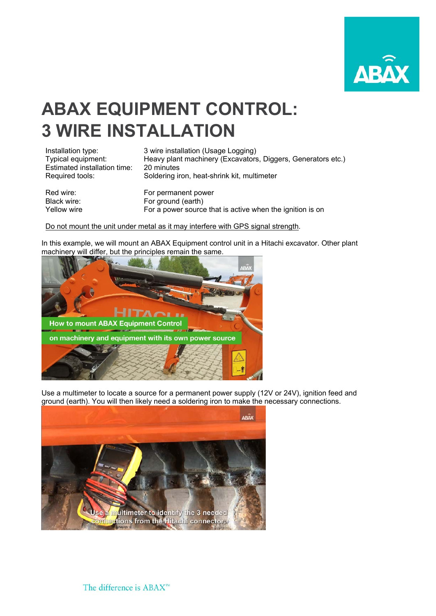

## **ABAX EQUIPMENT CONTROL: 3 WIRE INSTALLATION**

| Installation type:           | 3 wire installation (Usage Logging)                          |
|------------------------------|--------------------------------------------------------------|
| Typical equipment:           | Heavy plant machinery (Excavators, Diggers, Generators etc.) |
| Estimated installation time: | 20 minutes                                                   |
| Required tools:              | Soldering iron, heat-shrink kit, multimeter                  |
| Red wire:                    | For permanent power                                          |
| Black wire:                  | For ground (earth)                                           |
| Yellow wire                  | For a power source that is active when the ignition is on    |

## Do not mount the unit under metal as it may interfere with GPS signal strength.

In this example, we will mount an ABAX Equipment control unit in a Hitachi excavator. Other plant machinery will differ, but the principles remain the same.



Use a multimeter to locate a source for a permanent power supply (12V or 24V), ignition feed and ground (earth). You will then likely need a soldering iron to make the necessary connections.

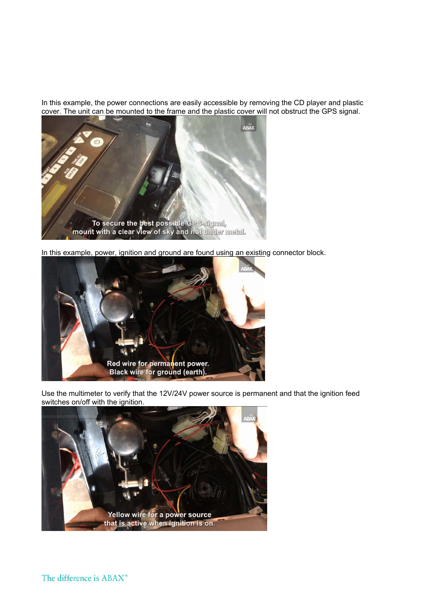In this example, the power connections are easily accessible by removing the CD player and plastic cover. The unit can be mounted to the frame and the plastic cover will not obstruct the GPS signal.



In this example, power, ignition and ground are found using an existing connector block.



Use the multimeter to verify that the 12V/24V power source is permanent and that the ignition feed switches on/off with the ignition.

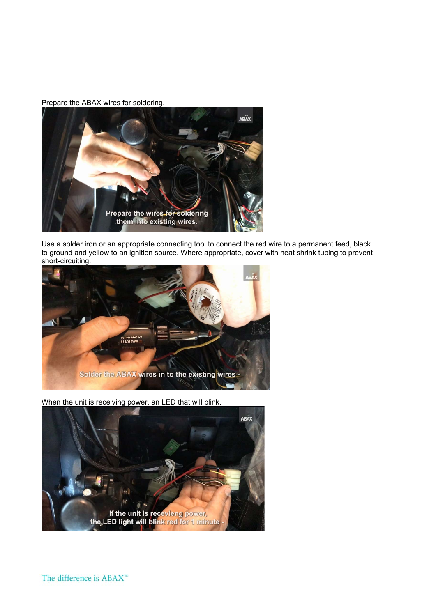Prepare the ABAX wires for soldering.



Use a solder iron or an appropriate connecting tool to connect the red wire to a permanent feed, black to ground and yellow to an ignition source. Where appropriate, cover with heat shrink tubing to prevent short-circuiting.



When the unit is receiving power, an LED that will blink.



The difference is ABAX<sup>™</sup>